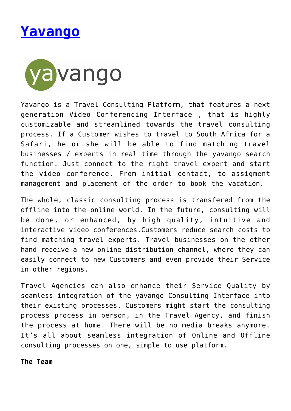



Yavango is a Travel Consulting Platform, that features a next generation Video Conferencing Interface , that is highly customizable and streamlined towards the travel consulting process. If a Customer wishes to travel to South Africa for a Safari, he or she will be able to find matching travel businesses / experts in real time through the yavango search function. Just connect to the right travel expert and start the video conference. From initial contact, to assigment management and placement of the order to book the vacation.

The whole, classic consulting process is transfered from the offline into the online world. In the future, consulting will be done, or enhanced, by high quality, intuitive and interactive video conferences.Customers reduce search costs to find matching travel experts. Travel businesses on the other hand receive a new online distribution channel, where they can easily connect to new Customers and even provide their Service in other regions.

Travel Agencies can also enhance their Service Quality by seamless integration of the yavango Consulting Interface into their existing processes. Customers might start the consulting process process in person, in the Travel Agency, and finish the process at home. There will be no media breaks anymore. It's all about seamless integration of Online and Offline consulting processes on one, simple to use platform.

**The Team**